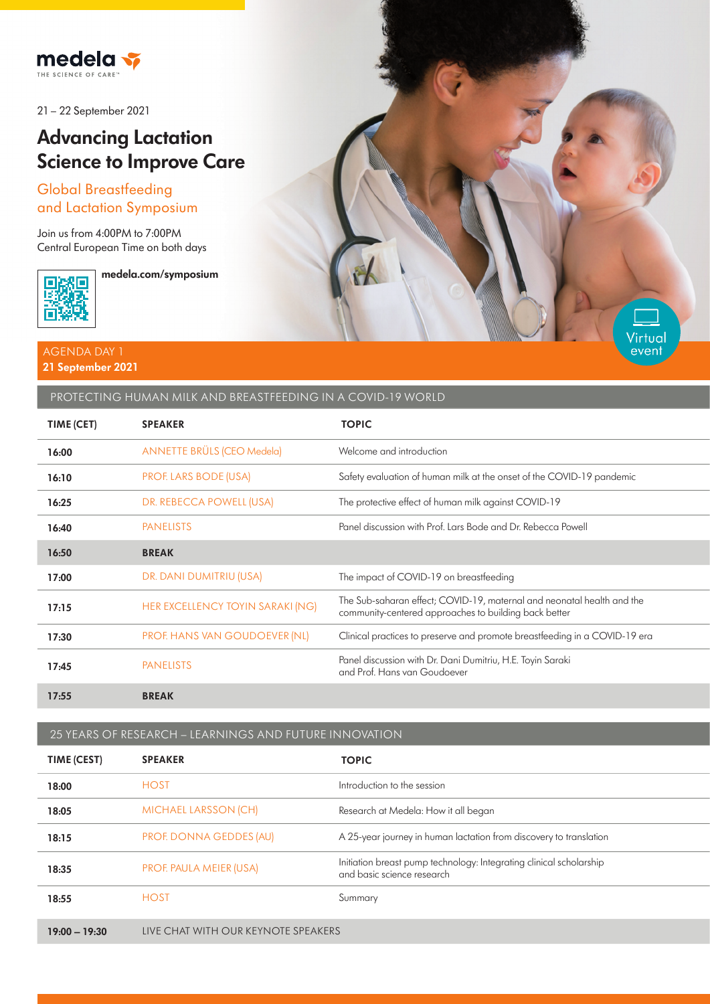

21 – 22 September 2021

# **Advancing Lactation Science to Improve Care**

## Global Breastfeeding and Lactation Symposium

Join us from 4:00PM to 7:00PM Central European Time on both days



**medela.com/symposium**

#### AGENDA DAY 1 **21 September 2021**

### PROTECTING HUMAN MILK AND BREASTFEEDING IN A COVID-19 WORLD

| TIME (CET) | <b>SPEAKER</b>                       | <b>TOPIC</b>                                                                                                                    |
|------------|--------------------------------------|---------------------------------------------------------------------------------------------------------------------------------|
| 16:00      | <b>ANNETTE BRÜLS (CEO Medela)</b>    | Welcome and introduction                                                                                                        |
| 16:10      | <b>PROF. LARS BODE (USA)</b>         | Safety evaluation of human milk at the onset of the COVID-19 pandemic                                                           |
| 16:25      | DR. REBECCA POWELL (USA)             | The protective effect of human milk against COVID-19                                                                            |
| 16:40      | <b>PANELISTS</b>                     | Panel discussion with Prof. Lars Bode and Dr. Rebecca Powell                                                                    |
| 16:50      | <b>BREAK</b>                         |                                                                                                                                 |
| 17:00      | DR. DANI DUMITRIU (USA)              | The impact of COVID-19 on breastfeeding                                                                                         |
| 17:15      | HER EXCELLENCY TOYIN SARAKI (NG)     | The Sub-saharan effect; COVID-19, maternal and neonatal health and the<br>community-centered approaches to building back better |
| 17:30      | <b>PROF. HANS VAN GOUDOEVER (NL)</b> | Clinical practices to preserve and promote breastfeeding in a COVID-19 era                                                      |
| 17:45      | <b>PANELISTS</b>                     | Panel discussion with Dr. Dani Dumitriu, H.E. Toyin Saraki<br>and Prof. Hans van Goudoever                                      |
| 17:55      | <b>BREAK</b>                         |                                                                                                                                 |

**Virtual** event

25 YEARS OF RESEARCH – LEARNINGS AND FUTURE INNOVATION

| TIME (CEST)     | <b>SPEAKER</b>                      | <b>TOPIC</b>                                                                                      |
|-----------------|-------------------------------------|---------------------------------------------------------------------------------------------------|
| 18:00           | <b>HOST</b>                         | Introduction to the session                                                                       |
| 18:05           | <b>MICHAEL LARSSON (CH)</b>         | Research at Medela: How it all began                                                              |
| 18:15           | PROF. DONNA GEDDES (AU)             | A 25-year journey in human lactation from discovery to translation                                |
| 18:35           | PROF. PAULA MEIER (USA)             | Initiation breast pump technology: Integrating clinical scholarship<br>and basic science research |
| 18:55           | <b>HOST</b>                         | Summary                                                                                           |
| $19:00 - 19:30$ | LIVE CHAT WITH OUR KEYNOTE SPEAKERS |                                                                                                   |